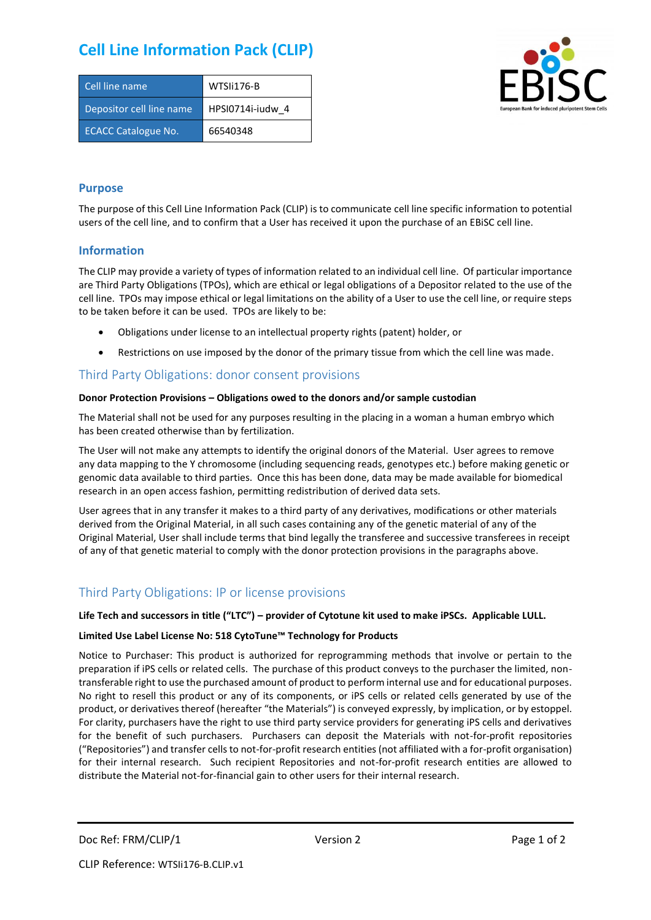# **Cell Line Information Pack (CLIP)**

| Cell line name             | WTSIi176-B       |
|----------------------------|------------------|
| Depositor cell line name   | HPSI0714i-iudw 4 |
| <b>ECACC Catalogue No.</b> | 66540348         |



### **Purpose**

The purpose of this Cell Line Information Pack (CLIP) is to communicate cell line specific information to potential users of the cell line, and to confirm that a User has received it upon the purchase of an EBiSC cell line.

#### **Information**

The CLIP may provide a variety of types of information related to an individual cell line. Of particular importance are Third Party Obligations (TPOs), which are ethical or legal obligations of a Depositor related to the use of the cell line. TPOs may impose ethical or legal limitations on the ability of a User to use the cell line, or require steps to be taken before it can be used. TPOs are likely to be:

- Obligations under license to an intellectual property rights (patent) holder, or
- Restrictions on use imposed by the donor of the primary tissue from which the cell line was made.

## Third Party Obligations: donor consent provisions

#### **Donor Protection Provisions – Obligations owed to the donors and/or sample custodian**

The Material shall not be used for any purposes resulting in the placing in a woman a human embryo which has been created otherwise than by fertilization.

The User will not make any attempts to identify the original donors of the Material. User agrees to remove any data mapping to the Y chromosome (including sequencing reads, genotypes etc.) before making genetic or genomic data available to third parties. Once this has been done, data may be made available for biomedical research in an open access fashion, permitting redistribution of derived data sets.

User agrees that in any transfer it makes to a third party of any derivatives, modifications or other materials derived from the Original Material, in all such cases containing any of the genetic material of any of the Original Material, User shall include terms that bind legally the transferee and successive transferees in receipt of any of that genetic material to comply with the donor protection provisions in the paragraphs above.

## Third Party Obligations: IP or license provisions

#### **Life Tech and successors in title ("LTC") – provider of Cytotune kit used to make iPSCs. Applicable LULL.**

#### **Limited Use Label License No: 518 CytoTune™ Technology for Products**

Notice to Purchaser: This product is authorized for reprogramming methods that involve or pertain to the preparation if iPS cells or related cells. The purchase of this product conveys to the purchaser the limited, nontransferable right to use the purchased amount of product to perform internal use and for educational purposes. No right to resell this product or any of its components, or iPS cells or related cells generated by use of the product, or derivatives thereof (hereafter "the Materials") is conveyed expressly, by implication, or by estoppel. For clarity, purchasers have the right to use third party service providers for generating iPS cells and derivatives for the benefit of such purchasers. Purchasers can deposit the Materials with not-for-profit repositories ("Repositories") and transfer cells to not-for-profit research entities (not affiliated with a for-profit organisation) for their internal research. Such recipient Repositories and not-for-profit research entities are allowed to distribute the Material not-for-financial gain to other users for their internal research.

Doc Ref: FRM/CLIP/1 Version 2 Version 2 Page 1 of 2